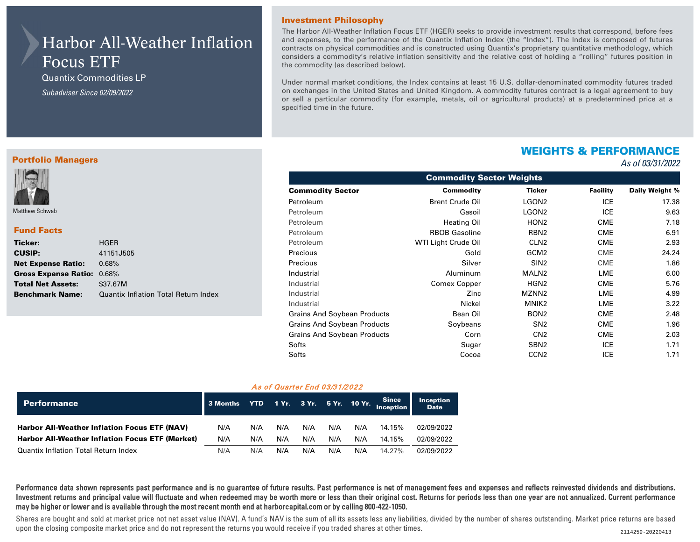# Harbor All-Weather Inflation Focus ETF

Quantix Commodities LP *Subadviser Since 02/09/2022* 

Portfolio Managers

#### Investment Philosophy

The Harbor All-Weather Inflation Focus ETF (HGER) seeks to provide investment results that correspond, before fees and expenses, to the performance of the Quantix Inflation Index (the "Index"). The Index is composed of futures contracts on physical commodities and is constructed using Quantix's proprietary quantitative methodology, which considers a commodity's relative inflation sensitivity and the relative cost of holding a "rolling" futures position in the commodity (as described below).

Under normal market conditions, the Index contains at least 15 U.S. dollar-denominated commodity futures traded on exchanges in the United States and United Kingdom. A commodity futures contract is a legal agreement to buy or sell a particular commodity (for example, metals, oil or agricultural products) at a predetermined price at a specified time in the future.

## WEIGHTS & PERFORMANCE

### *As of 03/31/2022*

| Matthew Schwab              |                                      |
|-----------------------------|--------------------------------------|
| <b>Fund Facts</b>           |                                      |
| Ticker:                     | <b>HGER</b>                          |
| <b>CUSIP:</b>               | 41151J505                            |
| <b>Net Expense Ratio:</b>   | 0.68%                                |
| <b>Gross Expense Ratio:</b> | 0.68%                                |
| <b>Total Net Assets:</b>    | \$37.67M                             |
| <b>Benchmark Name:</b>      | Quantix Inflation Total Return Index |

| <b>Commodity Sector Weights</b> |                        |                   |                 |                |  |  |  |  |  |  |
|---------------------------------|------------------------|-------------------|-----------------|----------------|--|--|--|--|--|--|
| <b>Commodity Sector</b>         | <b>Commodity</b>       | <b>Ticker</b>     | <b>Facility</b> | Daily Weight % |  |  |  |  |  |  |
| Petroleum                       | <b>Brent Crude Oil</b> | LGON <sub>2</sub> | <b>ICE</b>      | 17.38          |  |  |  |  |  |  |
| Petroleum                       | Gasoil                 | LGON <sub>2</sub> | <b>ICE</b>      | 9.63           |  |  |  |  |  |  |
| Petroleum                       | <b>Heating Oil</b>     | HON <sub>2</sub>  | CME             | 7.18           |  |  |  |  |  |  |
| Petroleum                       | <b>RBOB Gasoline</b>   | RBN <sub>2</sub>  | CME             | 6.91           |  |  |  |  |  |  |
| Petroleum                       | WTI Light Crude Oil    | CLN <sub>2</sub>  | CME             | 2.93           |  |  |  |  |  |  |
| Precious                        | Gold                   | GCM <sub>2</sub>  | <b>CME</b>      | 24.24          |  |  |  |  |  |  |
| Precious                        | Silver                 | SIN <sub>2</sub>  | <b>CME</b>      | 1.86           |  |  |  |  |  |  |
| Industrial                      | Aluminum               | MALN <sub>2</sub> | LME             | 6.00           |  |  |  |  |  |  |
| Industrial                      | <b>Comex Copper</b>    | HGN <sub>2</sub>  | CME             | 5.76           |  |  |  |  |  |  |
| Industrial                      | Zinc                   | MZNN <sub>2</sub> | LME             | 4.99           |  |  |  |  |  |  |
| Industrial                      | Nickel                 | MNIK2             | LME             | 3.22           |  |  |  |  |  |  |
| Grains And Soybean Products     | Bean Oil               | BON <sub>2</sub>  | CME             | 2.48           |  |  |  |  |  |  |
| Grains And Soybean Products     | Soybeans               | SN <sub>2</sub>   | CME             | 1.96           |  |  |  |  |  |  |
| Grains And Soybean Products     | Corn                   | CN <sub>2</sub>   | CME             | 2.03           |  |  |  |  |  |  |
| Softs                           | Sugar                  | SBN <sub>2</sub>  | <b>ICE</b>      | 1.71           |  |  |  |  |  |  |
| Softs                           | Cocoa                  | CCN <sub>2</sub>  | <b>ICE</b>      | 1.71           |  |  |  |  |  |  |

#### As of Quarter End 03/31/2022

| Performance                                            | 3 Months YTD 1 Yr. 3 Yr. 5 Yr. 10 Yr. Since |     |     |     |     |     |        | <b>Inception</b><br><b>Date</b> |
|--------------------------------------------------------|---------------------------------------------|-----|-----|-----|-----|-----|--------|---------------------------------|
| <b>Harbor All-Weather Inflation Focus ETF (NAV)</b>    | N/A                                         | N/A | N/A | N/A | N/A | N/A | 14.15% | 02/09/2022                      |
| <b>Harbor All-Weather Inflation Focus ETF (Market)</b> | N/A                                         | N/A | N/A | N/A | N/A | N/A | 14.15% | 02/09/2022                      |
| <b>Quantix Inflation Total Return Index</b>            | N/A                                         | N/A | N/A | N/A | N/A | N/A | 14.27% | 02/09/2022                      |

Performance data shown represents past performance and is no guarantee of future results. Past performance is net of management fees and expenses and reflects reinvested dividends and distributions. Investment returns and principal value will fluctuate and when redeemed may be worth more or less than their original cost. Returns for periods less than one year are not annualized. Current performance may be higher or lower and is available through the most recent month end at harborcapital.com or by calling 800-422-1050.

Shares are bought and sold at market price not net asset value (NAV). A fund's NAV is the sum of all its assets less any liabilities, divided by the number of shares outstanding. Market price returns are based upon the closing composite market price and do not represent the returns you would receive if you traded shares at other times. 2114259-20220413